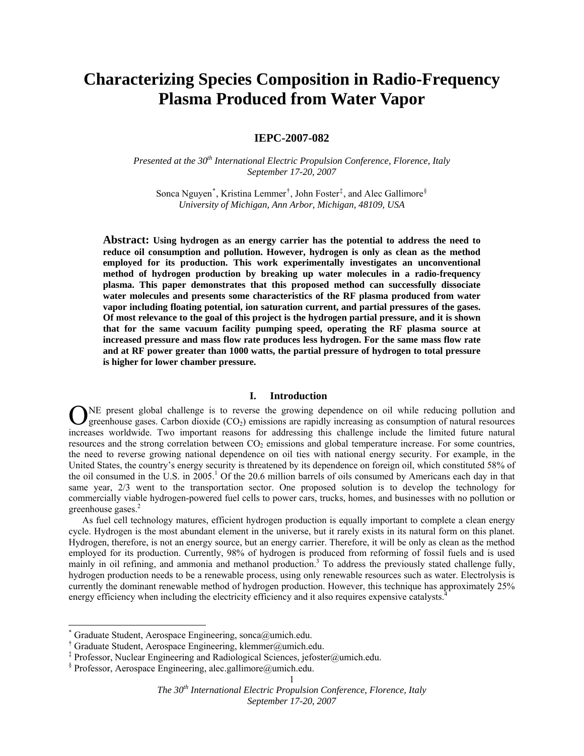# **Characterizing Species Composition in Radio-Frequency Plasma Produced from Water Vapor**

# **IEPC-2007-082**

*Presented at the 30<sup>th</sup> International Electric Propulsion Conference, Florence, Italy September 17-20, 2007* 

Sonca Nguyen<sup>[\\*](#page-0-0)</sup>, Kristina Lemmer<sup>[†](#page-0-1)</sup>, John Foster<sup>[‡](#page-0-2)</sup>, and Alec Gallimore<sup>[§](#page-0-3)</sup> *University of Michigan, Ann Arbor, Michigan, 48109, USA* 

**Abstract: Using hydrogen as an energy carrier has the potential to address the need to reduce oil consumption and pollution. However, hydrogen is only as clean as the method employed for its production. This work experimentally investigates an unconventional method of hydrogen production by breaking up water molecules in a radio-frequency plasma. This paper demonstrates that this proposed method can successfully dissociate water molecules and presents some characteristics of the RF plasma produced from water vapor including floating potential, ion saturation current, and partial pressures of the gases. Of most relevance to the goal of this project is the hydrogen partial pressure, and it is shown that for the same vacuum facility pumping speed, operating the RF plasma source at increased pressure and mass flow rate produces less hydrogen. For the same mass flow rate and at RF power greater than 1000 watts, the partial pressure of hydrogen to total pressure is higher for lower chamber pressure.** 

# **I. Introduction**

NE present global challenge is to reverse the growing dependence on oil while reducing pollution and greenhouse gases. Carbon dioxide  $(CO<sub>2</sub>)$  emissions are rapidly increasing as consumption of natural resources **O**NE present global challenge is to reverse the growing dependence on oil while reducing pollution and greenhouse gases. Carbon dioxide (CO<sub>2</sub>) emissions are rapidly increasing as consumption of natural resources increase resources and the strong correlation between CO<sub>2</sub> emissions and global temperature increase. For some countries, the need to reverse growing national dependence on oil ties with national energy security. For example, in the United States, the country's energy security is threatened by its dependence on foreign oil, which constituted 58% of the oil consumed in the U.S. in 2005.<sup>1</sup> Of the 20.6 million barrels of oils consumed by Americans each day in that same year, 2/3 went to the transportation sector. One proposed solution is to develop the technology for commercially viable hydrogen-powered fuel cells to power cars, trucks, homes, and businesses with no pollution or greenhouse gases.<sup>2</sup>

As fuel cell technology matures, efficient hydrogen production is equally important to complete a clean energy cycle. Hydrogen is the most abundant element in the universe, but it rarely exists in its natural form on this planet. Hydrogen, therefore, is not an energy source, but an energy carrier. Therefore, it will be only as clean as the method employed for its production. Currently, 98% of hydrogen is produced from reforming of fossil fuels and is used mainly in oil refining, and ammonia and methanol production.<sup>3</sup> To address the previously stated challenge fully, hydrogen production needs to be a renewable process, using only renewable resources such as water. Electrolysis is currently the dominant renewable method of hydrogen production. However, this technique has approximately 25% energy efficiency when including the electricity efficiency and it also requires expensive catalysts.<sup>4</sup>

-

<span id="page-0-0"></span><sup>\*</sup> Graduate Student, Aerospace Engineering, sonca@umich.edu.

<span id="page-0-1"></span><sup>†</sup> Graduate Student, Aerospace Engineering, klemmer@umich.edu.

<span id="page-0-2"></span><sup>‡</sup> Professor, Nuclear Engineering and Radiological Sciences, jefoster@umich.edu.

<span id="page-0-3"></span><sup>§</sup> Professor, Aerospace Engineering, alec.gallimore@umich.edu.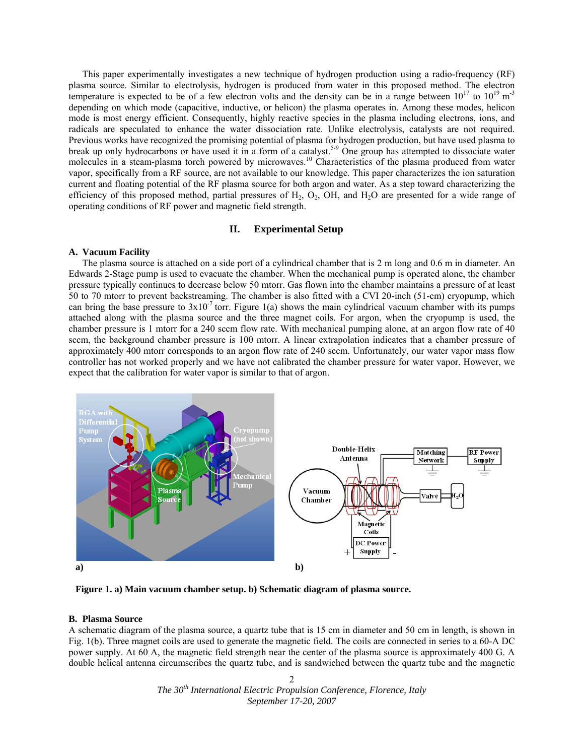This paper experimentally investigates a new technique of hydrogen production using a radio-frequency (RF) plasma source. Similar to electrolysis, hydrogen is produced from water in this proposed method. The electron temperature is expected to be of a few electron volts and the density can be in a range between  $10^{17}$  to  $10^{19}$  m<sup>-3</sup> depending on which mode (capacitive, inductive, or helicon) the plasma operates in. Among these modes, helicon mode is most energy efficient. Consequently, highly reactive species in the plasma including electrons, ions, and radicals are speculated to enhance the water dissociation rate. Unlike electrolysis, catalysts are not required. Previous works have recognized the promising potential of plasma for hydrogen production, but have used plasma to break up only hydrocarbons or have used it in a form of a catalyst.<sup>5-9</sup> One group has attempted to dissociate water molecules in a steam-plasma torch powered by microwaves.<sup>10</sup> Characteristics of the plasma produced from water vapor, specifically from a RF source, are not available to our knowledge. This paper characterizes the ion saturation current and floating potential of the RF plasma source for both argon and water. As a step toward characterizing the efficiency of this proposed method, partial pressures of  $H_2$ ,  $O_2$ , OH, and  $H_2O$  are presented for a wide range of operating conditions of RF power and magnetic field strength.

# **II. Experimental Setup**

# **A. Vacuum Facility**

The plasma source is attached on a side port of a cylindrical chamber that is 2 m long and 0.6 m in diameter. An Edwards 2-Stage pump is used to evacuate the chamber. When the mechanical pump is operated alone, the chamber pressure typically continues to decrease below 50 mtorr. Gas flown into the chamber maintains a pressure of at least 50 to 70 mtorr to prevent backstreaming. The chamber is also fitted with a CVI 20-inch (51-cm) cryopump, which can bring the base pressure to  $3x10^{-7}$  torr. Figure 1(a) shows the main cylindrical vacuum chamber with its pumps attached along with the plasma source and the three magnet coils. For argon, when the cryopump is used, the chamber pressure is 1 mtorr for a 240 sccm flow rate. With mechanical pumping alone, at an argon flow rate of 40 sccm, the background chamber pressure is 100 mtorr. A linear extrapolation indicates that a chamber pressure of approximately 400 mtorr corresponds to an argon flow rate of 240 sccm. Unfortunately, our water vapor mass flow controller has not worked properly and we have not calibrated the chamber pressure for water vapor. However, we expect that the calibration for water vapor is similar to that of argon.



**Figure 1. a) Main vacuum chamber setup. b) Schematic diagram of plasma source.**

## **B. Plasma Source**

A schematic diagram of the plasma source, a quartz tube that is 15 cm in diameter and 50 cm in length, is shown in Fig. 1(b). Three magnet coils are used to generate the magnetic field. The coils are connected in series to a 60-A DC power supply. At 60 A, the magnetic field strength near the center of the plasma source is approximately 400 G. A double helical antenna circumscribes the quartz tube, and is sandwiched between the quartz tube and the magnetic

> *The 30th International Electric Propulsion Conference, Florence, Italy September 17-20, 2007*   $\mathfrak{D}$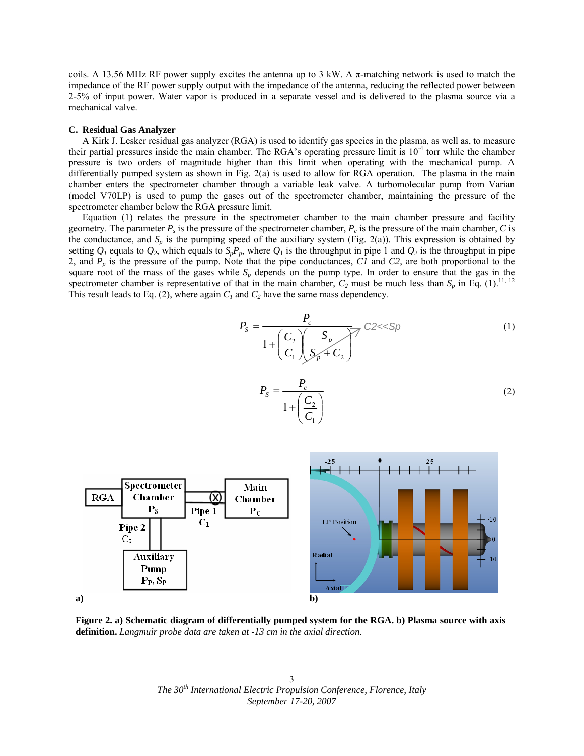coils. A 13.56 MHz RF power supply excites the antenna up to 3 kW. A π-matching network is used to match the impedance of the RF power supply output with the impedance of the antenna, reducing the reflected power between 2-5% of input power. Water vapor is produced in a separate vessel and is delivered to the plasma source via a mechanical valve.

#### **C. Residual Gas Analyzer**

A Kirk J. Lesker residual gas analyzer (RGA) is used to identify gas species in the plasma, as well as, to measure their partial pressures inside the main chamber. The RGA's operating pressure limit is  $10^{-4}$  torr while the chamber pressure is two orders of magnitude higher than this limit when operating with the mechanical pump. A differentially pumped system as shown in Fig. 2(a) is used to allow for RGA operation. The plasma in the main chamber enters the spectrometer chamber through a variable leak valve. A turbomolecular pump from Varian (model V70LP) is used to pump the gases out of the spectrometer chamber, maintaining the pressure of the spectrometer chamber below the RGA pressure limit.

 Equation (1) relates the pressure in the spectrometer chamber to the main chamber pressure and facility geometry. The parameter  $P_s$  is the pressure of the spectrometer chamber,  $P_c$  is the pressure of the main chamber,  $C$  is the conductance, and  $S_p$  is the pumping speed of the auxiliary system (Fig. 2(a)). This expression is obtained by setting  $Q_1$  equals to  $Q_2$ , which equals to  $S_pP_p$ , where  $Q_1$  is the throughput in pipe 1 and  $Q_2$  is the throughput in pipe 2, and *Pp* is the pressure of the pump. Note that the pipe conductances, *C1* and *C2*, are both proportional to the square root of the mass of the gases while  $S_p$  depends on the pump type. In order to ensure that the gas in the spectrometer chamber is representative of that in the main chamber,  $C_2$  must be much less than  $S_p$  in Eq. (1).<sup>11, 12</sup> This result leads to Eq. (2), where again  $C<sub>1</sub>$  and  $C<sub>2</sub>$  have the same mass dependency.

$$
P_{s} = \frac{P_{c}}{1 + \left(\frac{C_{2}}{C_{1}}\right)\left(\frac{S_{p}}{S_{p} + C_{2}}\right)} C2 << Sp
$$
\n(1)

$$
P_S = \frac{P_c}{1 + \left(\frac{C_2}{C_1}\right)}
$$
\n(2)



**Figure 2. a) Schematic diagram of differentially pumped system for the RGA. b) Plasma source with axis definition.** *Langmuir probe data are taken at -13 cm in the axial direction.*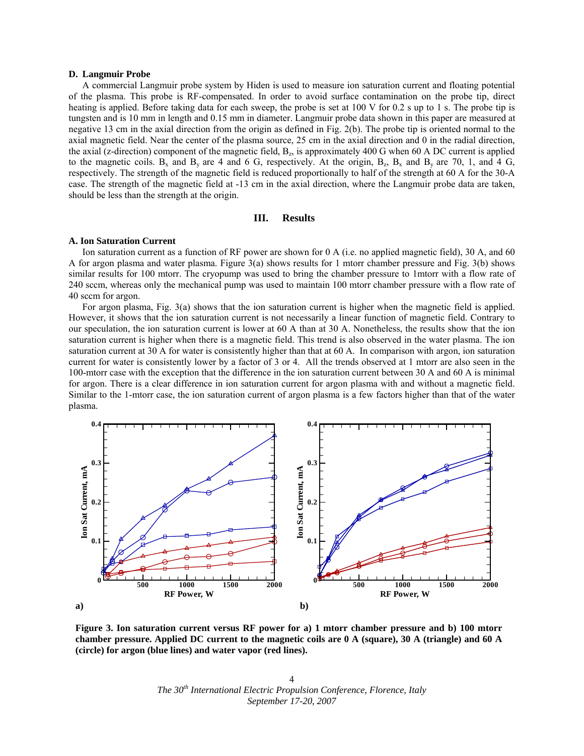## **D. Langmuir Probe**

 A commercial Langmuir probe system by Hiden is used to measure ion saturation current and floating potential of the plasma. This probe is RF-compensated. In order to avoid surface contamination on the probe tip, direct heating is applied. Before taking data for each sweep, the probe is set at 100 V for 0.2 s up to 1 s. The probe tip is tungsten and is 10 mm in length and 0.15 mm in diameter. Langmuir probe data shown in this paper are measured at negative 13 cm in the axial direction from the origin as defined in Fig. 2(b). The probe tip is oriented normal to the axial magnetic field. Near the center of the plasma source, 25 cm in the axial direction and 0 in the radial direction, the axial (z-direction) component of the magnetic field,  $B_z$ , is approximately 400 G when 60 A DC current is applied to the magnetic coils.  $B_x$  and  $B_y$  are 4 and 6 G, respectively. At the origin,  $B_z$ ,  $B_x$  and  $B_y$  are 70, 1, and 4 G, respectively. The strength of the magnetic field is reduced proportionally to half of the strength at 60 A for the 30-A case. The strength of the magnetic field at -13 cm in the axial direction, where the Langmuir probe data are taken, should be less than the strength at the origin.

#### **III. Results**

### **A. Ion Saturation Current**

Ion saturation current as a function of RF power are shown for 0 A (i.e. no applied magnetic field), 30 A, and 60 A for argon plasma and water plasma. Figure 3(a) shows results for 1 mtorr chamber pressure and Fig. 3(b) shows similar results for 100 mtorr. The cryopump was used to bring the chamber pressure to 1mtorr with a flow rate of 240 sccm, whereas only the mechanical pump was used to maintain 100 mtorr chamber pressure with a flow rate of 40 sccm for argon.

For argon plasma, Fig. 3(a) shows that the ion saturation current is higher when the magnetic field is applied. However, it shows that the ion saturation current is not necessarily a linear function of magnetic field. Contrary to our speculation, the ion saturation current is lower at 60 A than at 30 A. Nonetheless, the results show that the ion saturation current is higher when there is a magnetic field. This trend is also observed in the water plasma. The ion saturation current at 30 A for water is consistently higher than that at 60 A. In comparison with argon, ion saturation current for water is consistently lower by a factor of 3 or 4. All the trends observed at 1 mtorr are also seen in the 100-mtorr case with the exception that the difference in the ion saturation current between 30 A and 60 A is minimal for argon. There is a clear difference in ion saturation current for argon plasma with and without a magnetic field. Similar to the 1-mtorr case, the ion saturation current of argon plasma is a few factors higher than that of the water plasma.



**Figure 3. Ion saturation current versus RF power for a) 1 mtorr chamber pressure and b) 100 mtorr chamber pressure. Applied DC current to the magnetic coils are 0 A (square), 30 A (triangle) and 60 A (circle) for argon (blue lines) and water vapor (red lines).**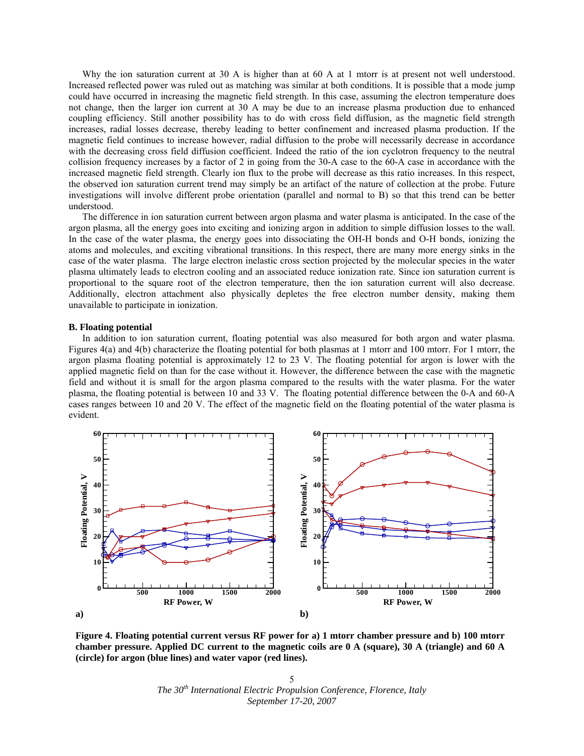Why the ion saturation current at 30 A is higher than at 60 A at 1 mtorr is at present not well understood. Increased reflected power was ruled out as matching was similar at both conditions. It is possible that a mode jump could have occurred in increasing the magnetic field strength. In this case, assuming the electron temperature does not change, then the larger ion current at 30 A may be due to an increase plasma production due to enhanced coupling efficiency. Still another possibility has to do with cross field diffusion, as the magnetic field strength increases, radial losses decrease, thereby leading to better confinement and increased plasma production. If the magnetic field continues to increase however, radial diffusion to the probe will necessarily decrease in accordance with the decreasing cross field diffusion coefficient. Indeed the ratio of the ion cyclotron frequency to the neutral collision frequency increases by a factor of 2 in going from the 30-A case to the 60-A case in accordance with the increased magnetic field strength. Clearly ion flux to the probe will decrease as this ratio increases. In this respect, the observed ion saturation current trend may simply be an artifact of the nature of collection at the probe. Future investigations will involve different probe orientation (parallel and normal to B) so that this trend can be better understood.

 The difference in ion saturation current between argon plasma and water plasma is anticipated. In the case of the argon plasma, all the energy goes into exciting and ionizing argon in addition to simple diffusion losses to the wall. In the case of the water plasma, the energy goes into dissociating the OH-H bonds and O-H bonds, ionizing the atoms and molecules, and exciting vibrational transitions. In this respect, there are many more energy sinks in the case of the water plasma. The large electron inelastic cross section projected by the molecular species in the water plasma ultimately leads to electron cooling and an associated reduce ionization rate. Since ion saturation current is proportional to the square root of the electron temperature, then the ion saturation current will also decrease. Additionally, electron attachment also physically depletes the free electron number density, making them unavailable to participate in ionization.

#### **B. Floating potential**

In addition to ion saturation current, floating potential was also measured for both argon and water plasma. Figures 4(a) and 4(b) characterize the floating potential for both plasmas at 1 mtorr and 100 mtorr. For 1 mtorr, the argon plasma floating potential is approximately 12 to 23 V. The floating potential for argon is lower with the applied magnetic field on than for the case without it. However, the difference between the case with the magnetic field and without it is small for the argon plasma compared to the results with the water plasma. For the water plasma, the floating potential is between 10 and 33 V. The floating potential difference between the 0-A and 60-A cases ranges between 10 and 20 V. The effect of the magnetic field on the floating potential of the water plasma is evident.



**Figure 4. Floating potential current versus RF power for a) 1 mtorr chamber pressure and b) 100 mtorr chamber pressure. Applied DC current to the magnetic coils are 0 A (square), 30 A (triangle) and 60 A (circle) for argon (blue lines) and water vapor (red lines).** 

*The 30th International Electric Propulsion Conference, Florence, Italy September 17-20, 2007*  5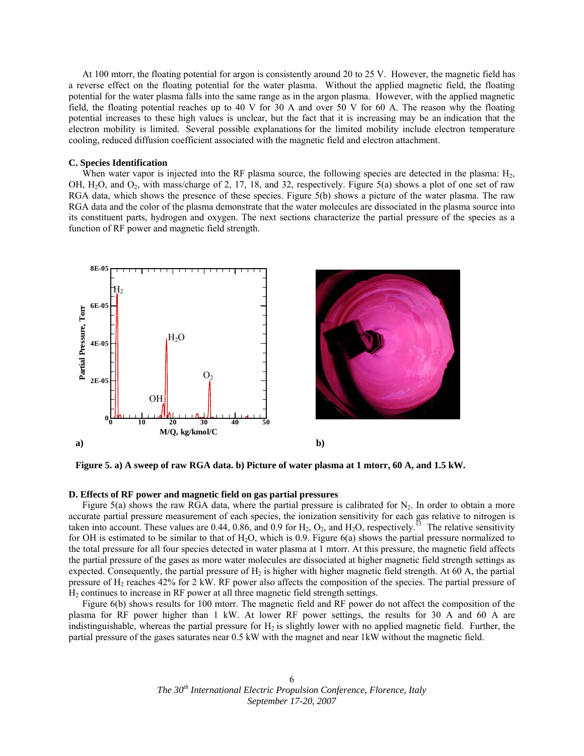At 100 mtorr, the floating potential for argon is consistently around 20 to 25 V. However, the magnetic field has a reverse effect on the floating potential for the water plasma. Without the applied magnetic field, the floating potential for the water plasma falls into the same range as in the argon plasma. However, with the applied magnetic field, the floating potential reaches up to 40 V for 30 A and over 50 V for 60 A. The reason why the floating potential increases to these high values is unclear, but the fact that it is increasing may be an indication that the electron mobility is limited. Several possible explanations for the limited mobility include electron temperature cooling, reduced diffusion coefficient associated with the magnetic field and electron attachment.

#### **C. Species Identification**

When water vapor is injected into the RF plasma source, the following species are detected in the plasma:  $H_2$ , OH, H2O, and O2, with mass/charge of 2, 17, 18, and 32, respectively. Figure 5(a) shows a plot of one set of raw RGA data, which shows the presence of these species. Figure 5(b) shows a picture of the water plasma. The raw RGA data and the color of the plasma demonstrate that the water molecules are dissociated in the plasma source into its constituent parts, hydrogen and oxygen. The next sections characterize the partial pressure of the species as a function of RF power and magnetic field strength.





**Figure 5. a) A sweep of raw RGA data. b) Picture of water plasma at 1 mtorr, 60 A, and 1.5 kW.** 

## **D. Effects of RF power and magnetic field on gas partial pressures**

Figure 5(a) shows the raw RGA data, where the partial pressure is calibrated for  $N_2$ . In order to obtain a more accurate partial pressure measurement of each species, the ionization sensitivity for each gas relative to nitrogen is taken into account. These values are 0.44, 0.86, and 0.9 for  $H_2$ ,  $O_2$ , and  $H_2O$ , respectively.<sup>13</sup> The relative sensitivity for OH is estimated to be similar to that of  $H_2O$ , which is 0.9. Figure 6(a) shows the partial pressure normalized to the total pressure for all four species detected in water plasma at 1 mtorr. At this pressure, the magnetic field affects the partial pressure of the gases as more water molecules are dissociated at higher magnetic field strength settings as expected. Consequently, the partial pressure of  $H_2$  is higher with higher magnetic field strength. At 60 A, the partial pressure of  $H_2$  reaches 42% for 2 kW. RF power also affects the composition of the species. The partial pressure of H2 continues to increase in RF power at all three magnetic field strength settings.

 Figure 6(b) shows results for 100 mtorr. The magnetic field and RF power do not affect the composition of the plasma for RF power higher than 1 kW. At lower RF power settings, the results for 30 A and 60 A are indistinguishable, whereas the partial pressure for  $H_2$  is slightly lower with no applied magnetic field. Further, the partial pressure of the gases saturates near 0.5 kW with the magnet and near 1kW without the magnetic field.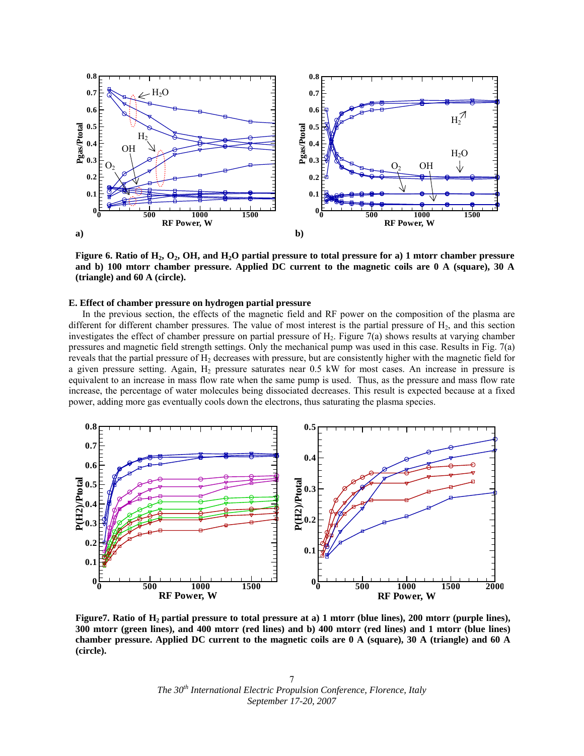

Figure 6. Ratio of H<sub>2</sub>, O<sub>2</sub>, OH, and H<sub>2</sub>O partial pressure to total pressure for a) 1 mtorr chamber pressure **and b) 100 mtorr chamber pressure. Applied DC current to the magnetic coils are 0 A (square), 30 A (triangle) and 60 A (circle).** 

#### **E. Effect of chamber pressure on hydrogen partial pressure**

In the previous section, the effects of the magnetic field and RF power on the composition of the plasma are different for different chamber pressures. The value of most interest is the partial pressure of  $H_2$ , and this section investigates the effect of chamber pressure on partial pressure of H2. Figure 7(a) shows results at varying chamber pressures and magnetic field strength settings. Only the mechanical pump was used in this case. Results in Fig. 7(a) reveals that the partial pressure of  $H_2$  decreases with pressure, but are consistently higher with the magnetic field for a given pressure setting. Again, H<sub>2</sub> pressure saturates near 0.5 kW for most cases. An increase in pressure is equivalent to an increase in mass flow rate when the same pump is used. Thus, as the pressure and mass flow rate increase, the percentage of water molecules being dissociated decreases. This result is expected because at a fixed power, adding more gas eventually cools down the electrons, thus saturating the plasma species.



Figure7. Ratio of H<sub>2</sub> partial pressure to total pressure at a) 1 mtorr (blue lines), 200 mtorr (purple lines), **300 mtorr (green lines), and 400 mtorr (red lines) and b) 400 mtorr (red lines) and 1 mtorr (blue lines) chamber pressure. Applied DC current to the magnetic coils are 0 A (square), 30 A (triangle) and 60 A (circle).** 

*The 30th International Electric Propulsion Conference, Florence, Italy September 17-20, 2007*  7